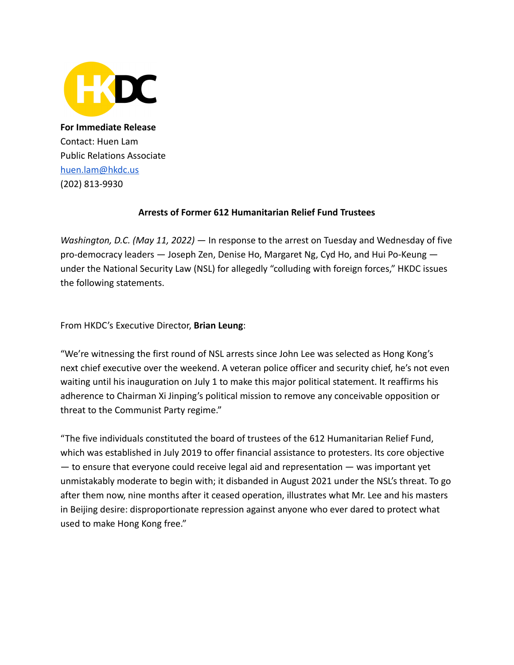

**For Immediate Release** Contact: Huen Lam Public Relations Associate [huen.lam@hkdc.us](mailto:huen.lam@hkdc.us) (202) 813-9930

## **Arrests of Former 612 Humanitarian Relief Fund Trustees**

*Washington, D.C. (May 11, 2022)* — In response to the arrest on Tuesday and Wednesday of five pro-democracy leaders — Joseph Zen, Denise Ho, Margaret Ng, Cyd Ho, and Hui Po-Keung under the National Security Law (NSL) for allegedly "colluding with foreign forces," HKDC issues the following statements.

From HKDC's Executive Director, **Brian Leung**:

"We're witnessing the first round of NSL arrests since John Lee was selected as Hong Kong's next chief executive over the weekend. A veteran police officer and security chief, he's not even waiting until his inauguration on July 1 to make this major political statement. It reaffirms his adherence to Chairman Xi Jinping's political mission to remove any conceivable opposition or threat to the Communist Party regime."

"The five individuals constituted the board of trustees of the 612 Humanitarian Relief Fund, which was established in July 2019 to offer financial assistance to protesters. Its core objective — to ensure that everyone could receive legal aid and representation — was important yet unmistakably moderate to begin with; it disbanded in August 2021 under the NSL's threat. To go after them now, nine months after it ceased operation, illustrates what Mr. Lee and his masters in Beijing desire: disproportionate repression against anyone who ever dared to protect what used to make Hong Kong free."